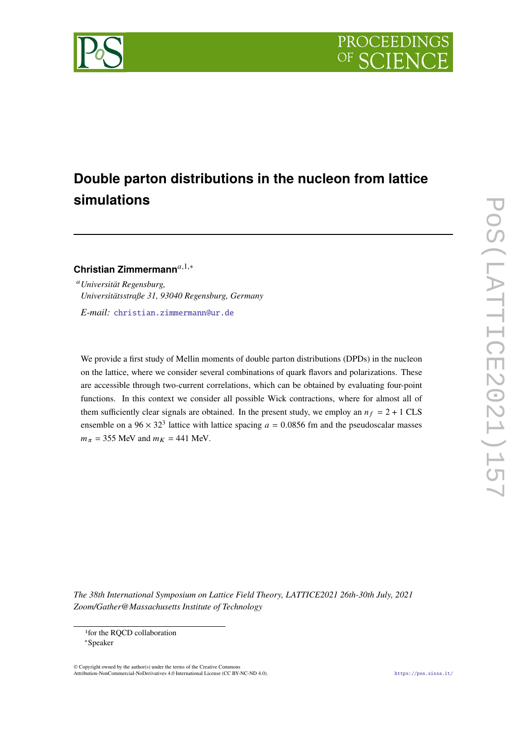

# **Double parton distributions in the nucleon from lattice simulations**

Christian Zimmermann<sup>a,1,∗</sup>

*Universität Regensburg, Universitätsstraße 31, 93040 Regensburg, Germany*

*E-mail:* [christian.zimmermann@ur.de](mailto:christian.zimmermann@ur.de)

We provide a first study of Mellin moments of double parton distributions (DPDs) in the nucleon on the lattice, where we consider several combinations of quark flavors and polarizations. These are accessible through two-current correlations, which can be obtained by evaluating four-point functions. In this context we consider all possible Wick contractions, where for almost all of them sufficiently clear signals are obtained. In the present study, we employ an  $n_f = 2 + 1$  CLS ensemble on a  $96 \times 32^3$  lattice with lattice spacing  $a = 0.0856$  fm and the pseudoscalar masses  $m_{\pi}$  = 355 MeV and  $m_K$  = 441 MeV.

*The 38th International Symposium on Lattice Field Theory, LATTICE2021 26th-30th July, 2021 Zoom/Gather@Massachusetts Institute of Technology*

© Copyright owned by the author(s) under the terms of the Creative Commons Attribution-NonCommercial-NoDerivatives 4.0 International License (CC BY-NC-ND 4.0). <https://pos.sissa.it/>

<sup>&</sup>lt;sup>1</sup>for the RQCD collaboration

<sup>∗</sup>Speaker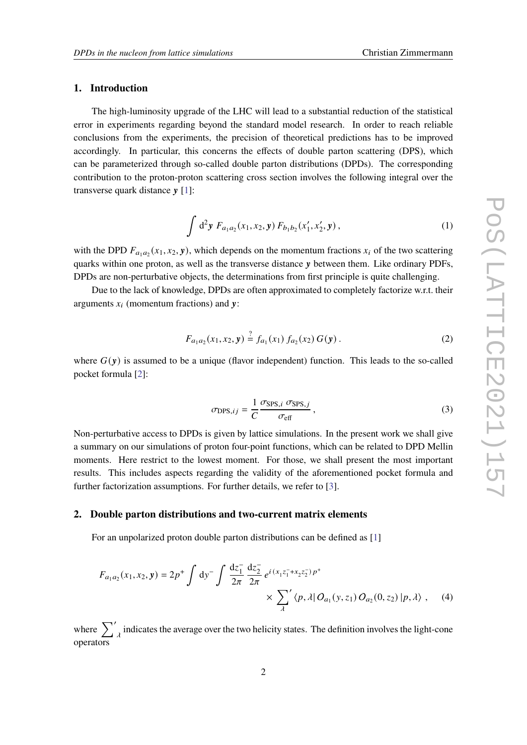### **1. Introduction**

The high-luminosity upgrade of the LHC will lead to a substantial reduction of the statistical error in experiments regarding beyond the standard model research. In order to reach reliable conclusions from the experiments, the precision of theoretical predictions has to be improved accordingly. In particular, this concerns the effects of double parton scattering (DPS), which can be parameterized through so-called double parton distributions (DPDs). The corresponding contribution to the proton-proton scattering cross section involves the following integral over the transverse quark distance  $v$  [\[1\]](#page-8-0):

$$
\int d^2y \ F_{a_1a_2}(x_1, x_2, y) \ F_{b_1b_2}(x'_1, x'_2, y) , \tag{1}
$$

with the DPD  $F_{a_1 a_2}(x_1, x_2, y)$ , which depends on the momentum fractions  $x_i$  of the two scattering quarks within one proton, as well as the transverse distance y between them. Like ordinary PDFs, DPDs are non-perturbative objects, the determinations from first principle is quite challenging.

Due to the lack of knowledge, DPDs are often approximated to completely factorize w.r.t. their arguments  $x_i$  (momentum fractions) and y:

$$
F_{a_1a_2}(x_1, x_2, y) \stackrel{?}{=} f_{a_1}(x_1) f_{a_2}(x_2) G(y).
$$
 (2)

where  $G(y)$  is assumed to be a unique (flavor independent) function. This leads to the so-called pocket formula [\[2\]](#page-8-1):

<span id="page-1-2"></span><span id="page-1-1"></span><span id="page-1-0"></span>
$$
\sigma_{\text{DPS},ij} = \frac{1}{C} \frac{\sigma_{\text{SPS},i} \sigma_{\text{SPS},j}}{\sigma_{\text{eff}}} \,, \tag{3}
$$

Non-perturbative access to DPDs is given by lattice simulations. In the present work we shall give a summary on our simulations of proton four-point functions, which can be related to DPD Mellin moments. Here restrict to the lowest moment. For those, we shall present the most important results. This includes aspects regarding the validity of the aforementioned pocket formula and further factorization assumptions. For further details, we refer to [\[3\]](#page-8-2).

### **2. Double parton distributions and two-current matrix elements**

For an unpolarized proton double parton distributions can be defined as [\[1\]](#page-8-0)

$$
F_{a_1a_2}(x_1, x_2, y) = 2p^+ \int dy^- \int \frac{dz_1^-}{2\pi} \frac{dz_2^-}{2\pi} e^{i(x_1z_1^- + x_2z_2^-)p^+} \times \sum_{\lambda} \langle p, \lambda | O_{a_1}(y, z_1) O_{a_2}(0, z_2) | p, \lambda \rangle , \quad (4)
$$

where  $\sum_{\lambda}^{\prime}$  indicates the average over the two helicity states. The definition involves the light-cone operators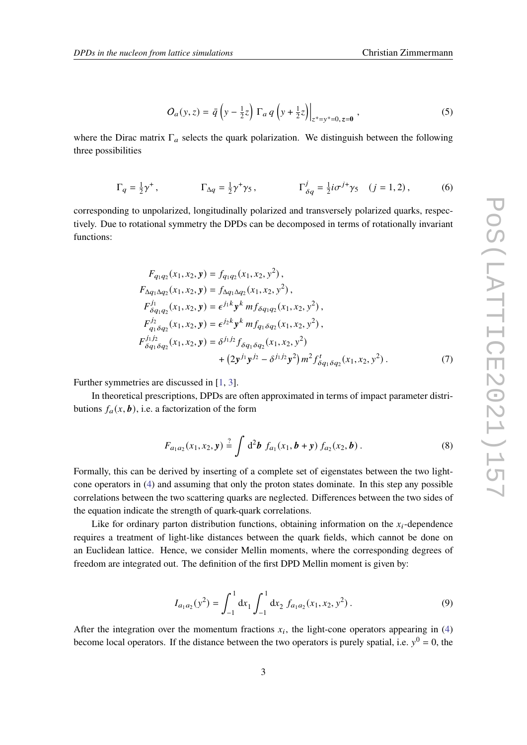$$
O_a(y, z) = \bar{q} \left( y - \frac{1}{2} z \right) \Gamma_a q \left( y + \frac{1}{2} z \right) \Big|_{z^+ = y^+ = 0, z = 0} ,
$$
 (5)

where the Dirac matrix  $\Gamma_a$  selects the quark polarization. We distinguish between the following three possibilities

$$
\Gamma_q = \frac{1}{2}\gamma^+, \qquad \Gamma_{\Delta q} = \frac{1}{2}\gamma^+\gamma_5, \qquad \Gamma_{\delta q}^j = \frac{1}{2}i\sigma^{j\dagger}\gamma_5 \quad (j = 1, 2), \qquad (6)
$$

corresponding to unpolarized, longitudinally polarized and transversely polarized quarks, respectively. Due to rotational symmetry the DPDs can be decomposed in terms of rotationally invariant functions:

$$
F_{q_1q_2}(x_1, x_2, y) = f_{q_1q_2}(x_1, x_2, y^2),
$$
  
\n
$$
F_{\Delta q_1\Delta q_2}(x_1, x_2, y) = f_{\Delta q_1\Delta q_2}(x_1, x_2, y^2),
$$
  
\n
$$
F_{\delta q_1q_2}^{j_1}(x_1, x_2, y) = \epsilon^{j_1k} y^k m f_{\delta q_1q_2}(x_1, x_2, y^2),
$$
  
\n
$$
F_{q_1\delta q_2}^{j_2}(x_1, x_2, y) = \epsilon^{j_2k} y^k m f_{q_1\delta q_2}(x_1, x_2, y^2),
$$
  
\n
$$
F_{\delta q_1\delta q_2}^{j_1j_2}(x_1, x_2, y) = \delta^{j_1j_2} f_{\delta q_1\delta q_2}(x_1, x_2, y^2) + (2y^{j_1}y^{j_2} - \delta^{j_1j_2}y^2) m^2 f_{\delta q_1\delta q_2}^{t}(x_1, x_2, y^2).
$$
\n(7)

Further symmetries are discussed in [\[1,](#page-8-0) [3\]](#page-8-2).

In theoretical prescriptions, DPDs are often approximated in terms of impact parameter distributions  $f_a(x, b)$ , i.e. a factorization of the form

<span id="page-2-1"></span>
$$
F_{a_1a_2}(x_1,x_2,\mathbf{y}) \stackrel{?}{=} \int \mathrm{d}^2\mathbf{b} \, f_{a_1}(x_1,\mathbf{b}+\mathbf{y}) \, f_{a_2}(x_2,\mathbf{b}) \, . \tag{8}
$$

Formally, this can be derived by inserting of a complete set of eigenstates between the two lightcone operators in [\(4\)](#page-1-0) and assuming that only the proton states dominate. In this step any possible correlations between the two scattering quarks are neglected. Differences between the two sides of the equation indicate the strength of quark-quark correlations.

Like for ordinary parton distribution functions, obtaining information on the  $x_i$ -dependence requires a treatment of light-like distances between the quark fields, which cannot be done on an Euclidean lattice. Hence, we consider Mellin moments, where the corresponding degrees of freedom are integrated out. The definition of the first DPD Mellin moment is given by:

<span id="page-2-0"></span>
$$
I_{a_1 a_2}(y^2) = \int_{-1}^1 dx_1 \int_{-1}^1 dx_2 f_{a_1 a_2}(x_1, x_2, y^2).
$$
 (9)

After the integration over the momentum fractions  $x_i$ , the light-cone operators appearing in [\(4\)](#page-1-0) become local operators. If the distance between the two operators is purely spatial, i.e.  $y^0 = 0$ , the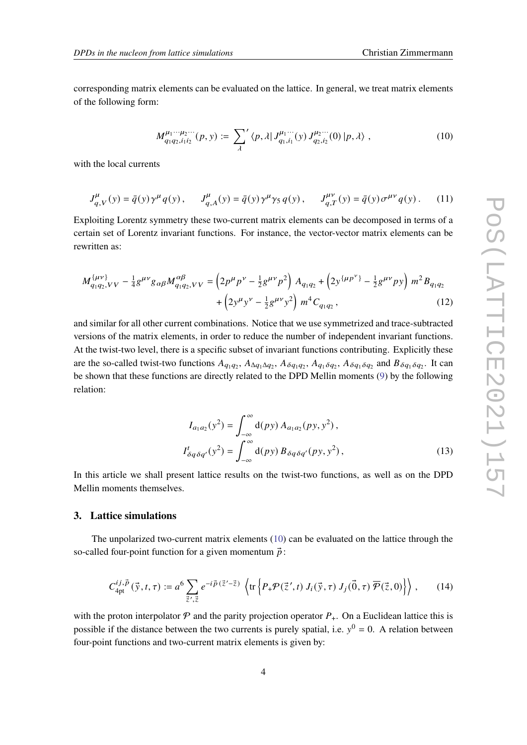corresponding matrix elements can be evaluated on the lattice. In general, we treat matrix elements of the following form:

<span id="page-3-0"></span>
$$
M_{q_1q_2,i_1i_2}^{\mu_1\cdots\mu_2\cdots}(p,y) := \sum_{\lambda} \langle p,\lambda|J_{q_1,i_1}^{\mu_1\cdots}(y)J_{q_2,i_2}^{\mu_2\cdots}(0)|p,\lambda\rangle ,
$$
 (10)

with the local currents

$$
J_{q,V}^{\mu}(y) = \bar{q}(y)\gamma^{\mu}q(y), \qquad J_{q,A}^{\mu}(y) = \bar{q}(y)\gamma^{\mu}\gamma_{5}q(y), \qquad J_{q,T}^{\mu\nu}(y) = \bar{q}(y)\sigma^{\mu\nu}q(y). \tag{11}
$$

Exploiting Lorentz symmetry these two-current matrix elements can be decomposed in terms of a certain set of Lorentz invariant functions. For instance, the vector-vector matrix elements can be rewritten as:

$$
M_{q_1q_2,VV}^{\{\mu\nu\}} - \frac{1}{4}g^{\mu\nu}g_{\alpha\beta}M_{q_1q_2,VV}^{\alpha\beta} = \left(2p^{\mu}p^{\nu} - \frac{1}{2}g^{\mu\nu}p^2\right)A_{q_1q_2} + \left(2y^{\{\mu p^{\nu}\}} - \frac{1}{2}g^{\mu\nu}py\right)m^2B_{q_1q_2} + \left(2y^{\mu}y^{\nu} - \frac{1}{2}g^{\mu\nu}y^2\right)m^4C_{q_1q_2},
$$
\n(12)

and similar for all other current combinations. Notice that we use symmetrized and trace-subtracted versions of the matrix elements, in order to reduce the number of independent invariant functions. At the twist-two level, there is a specific subset of invariant functions contributing. Explicitly these are the so-called twist-two functions  $A_{q_1q_2}$ ,  $A_{\Delta q_1\Delta q_2}$ ,  $A_{\delta q_1q_2}$ ,  $A_{q_1\delta q_2}$ ,  $A_{\delta q_1\delta q_2}$  and  $B_{\delta q_1\delta q_2}$ . It can be shown that these functions are directly related to the DPD Mellin moments [\(9\)](#page-2-0) by the following relation:

<span id="page-3-3"></span><span id="page-3-2"></span><span id="page-3-1"></span>
$$
I_{a_1a_2}(y^2) = \int_{-\infty}^{\infty} d(py) A_{a_1a_2}(py, y^2),
$$
  
\n
$$
I_{\delta q \delta q'}^t(y^2) = \int_{-\infty}^{\infty} d(py) B_{\delta q \delta q'}(py, y^2),
$$
\n(13)

In this article we shall present lattice results on the twist-two functions, as well as on the DPD Mellin moments themselves.

#### **3. Lattice simulations**

The unpolarized two-current matrix elements [\(10\)](#page-3-0) can be evaluated on the lattice through the so-called four-point function for a given momentum  $\vec{p}$ :

$$
C_{4pt}^{ij,\vec{p}}(\vec{y},t,\tau) := a^6 \sum_{\vec{z}',\vec{z}} e^{-i\vec{p}(\vec{z}'-\vec{z})} \left\{ \text{tr} \left\{ P_+\mathcal{P}(\vec{z}',t) \ J_i(\vec{y},\tau) \ J_j(\vec{0},\tau) \ \overline{\mathcal{P}}(\vec{z},0) \right\} \right\},\qquad(14)
$$

with the proton interpolator  $\mathcal P$  and the parity projection operator  $P_+$ . On a Euclidean lattice this is possible if the distance between the two currents is purely spatial, i.e.  $y^0 = 0$ . A relation between four-point functions and two-current matrix elements is given by: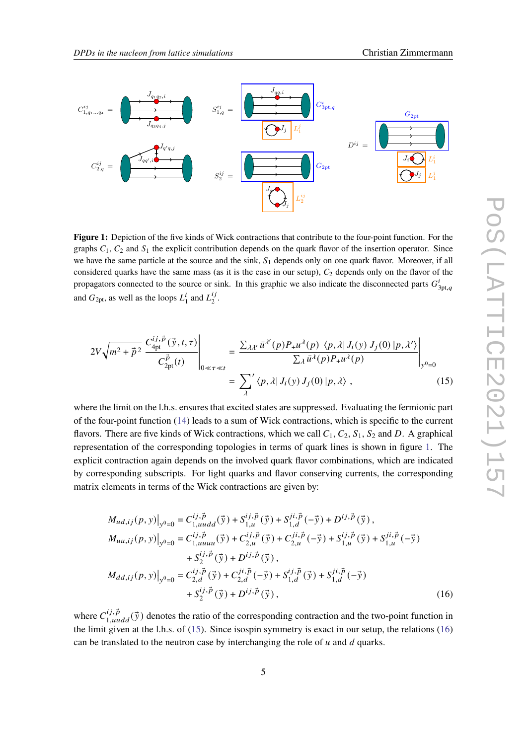<span id="page-4-0"></span>

**Figure 1:** Depiction of the five kinds of Wick contractions that contribute to the four-point function. For the graphs  $C_1$ ,  $C_2$  and  $S_1$  the explicit contribution depends on the quark flavor of the insertion operator. Since we have the same particle at the source and the sink,  $S_1$  depends only on one quark flavor. Moreover, if all considered quarks have the same mass (as it is the case in our setup),  $C_2$  depends only on the flavor of the propagators connected to the source or sink. In this graphic we also indicate the disconnected parts  $G_{3pt,q}^i$ and  $G_{2pt}$ , as well as the loops  $L_1^i$  $i_1$  and  $L_2^{ij}$  $\frac{i}{2}$ .

<span id="page-4-1"></span>
$$
2V\sqrt{m^2 + \vec{p}^2} \frac{C_{\text{4pt}}^{ij,\vec{p}}(\vec{y},t,\tau)}{C_{\text{2pt}}^{\vec{p}}(t)}\Bigg|_{0 \ll \tau \ll t} = \frac{\sum_{\lambda\lambda'}\bar{u}^{\lambda'}(p)P_{+}u^{\lambda}(p)\ \langle p,\lambda|J_i(y)J_j(0)|p,\lambda'\rangle}{\sum_{\lambda}\bar{u}^{\lambda}(p)P_{+}u^{\lambda}(p)}\Bigg|_{y^0=0}
$$
\n
$$
= \sum_{\lambda}^{\prime} \langle p,\lambda|J_i(y)J_j(0)|p,\lambda\rangle ,\qquad (15)
$$

where the limit on the l.h.s. ensures that excited states are suppressed. Evaluating the fermionic part of the four-point function [\(14\)](#page-3-1) leads to a sum of Wick contractions, which is specific to the current flavors. There are five kinds of Wick contractions, which we call  $C_1$ ,  $C_2$ ,  $S_1$ ,  $S_2$  and D. A graphical representation of the corresponding topologies in terms of quark lines is shown in figure [1.](#page-4-0) The explicit contraction again depends on the involved quark flavor combinations, which are indicated by corresponding subscripts. For light quarks and flavor conserving currents, the corresponding matrix elements in terms of the Wick contractions are given by:

<span id="page-4-2"></span>
$$
M_{ud,ij}(p, y)|_{y^0=0} = C_{1,uudd}^{ij,\vec{p}}(\vec{y}) + S_{1,u}^{ij,\vec{p}}(\vec{y}) + S_{1,d}^{ji,\vec{p}}(-\vec{y}) + D^{ij,\vec{p}}(\vec{y}),
$$
  
\n
$$
M_{uu,ij}(p, y)|_{y^0=0} = C_{1,uuuu}^{ij,\vec{p}}(\vec{y}) + C_{2,u}^{ij,\vec{p}}(\vec{y}) + C_{2,u}^{ji,\vec{p}}(-\vec{y}) + S_{1,u}^{ij,\vec{p}}(\vec{y}) + S_{1,u}^{ji,\vec{p}}(-\vec{y})
$$
  
\n
$$
+ S_2^{ij,\vec{p}}(\vec{y}) + D^{ij,\vec{p}}(\vec{y}),
$$
  
\n
$$
M_{dd,ij}(p, y)|_{y^0=0} = C_{2,d}^{ij,\vec{p}}(\vec{y}) + C_{2,d}^{ji,\vec{p}}(-\vec{y}) + S_{1,d}^{ij,\vec{p}}(\vec{y}) + S_{1,d}^{ji,\vec{p}}(-\vec{y})
$$
  
\n
$$
+ S_2^{ij,\vec{p}}(\vec{y}) + D^{ij,\vec{p}}(\vec{y}),
$$
\n(16)

where  $C_{1, uudd}^{ij, \vec{p}}(\vec{y})$  denotes the ratio of the corresponding contraction and the two-point function in the limit given at the l.h.s. of [\(15\)](#page-4-1). Since isospin symmetry is exact in our setup, the relations [\(16\)](#page-4-2) can be translated to the neutron case by interchanging the role of  $u$  and  $d$  quarks.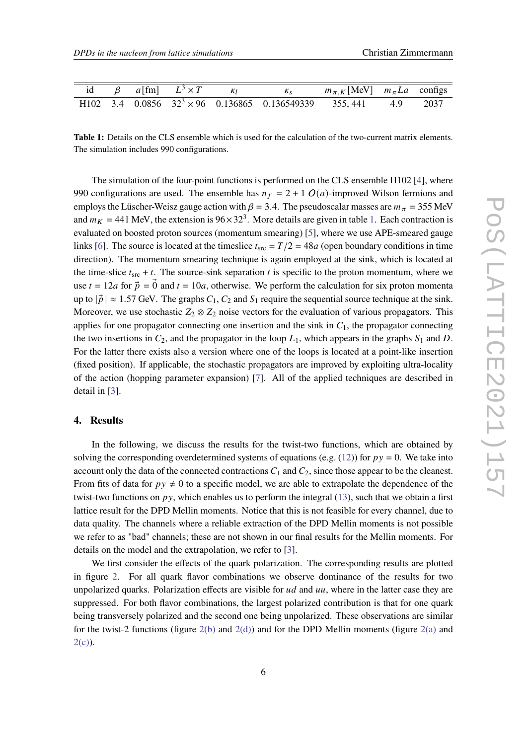<span id="page-5-0"></span>

|  | id $\beta$ a [fm] $L^3 \times T$ | $K_1$ $K_8$                                                             | $m_{\pi,K}$ [MeV] $m_{\pi}La$ configs |  |
|--|----------------------------------|-------------------------------------------------------------------------|---------------------------------------|--|
|  |                                  | H102 3.4 0.0856 $32^3 \times 96$ 0.136865 0.136549339 355, 441 4.9 2037 |                                       |  |

**Table 1:** Details on the CLS ensemble which is used for the calculation of the two-current matrix elements. The simulation includes 990 configurations.

The simulation of the four-point functions is performed on the CLS ensemble H102 [\[4\]](#page-8-3), where 990 configurations are used. The ensemble has  $n_f = 2 + 1 O(a)$ -improved Wilson fermions and employs the Lüscher-Weisz gauge action with  $\beta = 3.4$ . The pseudoscalar masses are  $m_{\pi} = 355$  MeV and  $m_K = 441$  MeV, the extension is  $96 \times 32^3$ . More details are given in table [1.](#page-5-0) Each contraction is evaluated on boosted proton sources (momentum smearing) [\[5\]](#page-8-4), where we use APE-smeared gauge links [\[6\]](#page-8-5). The source is located at the timeslice  $t_{src} = T/2 = 48a$  (open boundary conditions in time direction). The momentum smearing technique is again employed at the sink, which is located at the time-slice  $t_{src} + t$ . The source-sink separation t is specific to the proton momentum, where we use  $t = 12a$  for  $\vec{p} = \vec{0}$  and  $t = 10a$ , otherwise. We perform the calculation for six proton momenta up to  $|\vec{p}| \approx 1.57$  GeV. The graphs  $C_1$ ,  $C_2$  and  $S_1$  require the sequential source technique at the sink. Moreover, we use stochastic  $Z_2 \otimes Z_2$  noise vectors for the evaluation of various propagators. This applies for one propagator connecting one insertion and the sink in  $C_1$ , the propagator connecting the two insertions in  $C_2$ , and the propagator in the loop  $L_1$ , which appears in the graphs  $S_1$  and  $D$ . For the latter there exists also a version where one of the loops is located at a point-like insertion (fixed position). If applicable, the stochastic propagators are improved by exploiting ultra-locality of the action (hopping parameter expansion) [\[7\]](#page-8-6). All of the applied techniques are described in detail in [\[3\]](#page-8-2).

# **4. Results**

In the following, we discuss the results for the twist-two functions, which are obtained by solving the corresponding overdetermined systems of equations (e.g. [\(12\)](#page-3-2)) for  $py = 0$ . We take into account only the data of the connected contractions  $C_1$  and  $C_2$ , since those appear to be the cleanest. From fits of data for  $py \neq 0$  to a specific model, we are able to extrapolate the dependence of the twist-two functions on  $py$ , which enables us to perform the integral [\(13\)](#page-3-3), such that we obtain a first lattice result for the DPD Mellin moments. Notice that this is not feasible for every channel, due to data quality. The channels where a reliable extraction of the DPD Mellin moments is not possible we refer to as "bad" channels; these are not shown in our final results for the Mellin moments. For details on the model and the extrapolation, we refer to [\[3\]](#page-8-2).

We first consider the effects of the quark polarization. The corresponding results are plotted in figure [2.](#page-6-0) For all quark flavor combinations we observe dominance of the results for two unpolarized quarks. Polarization effects are visible for  $ud$  and  $uu$ , where in the latter case they are suppressed. For both flavor combinations, the largest polarized contribution is that for one quark being transversely polarized and the second one being unpolarized. These observations are similar for the twist-2 functions (figure  $2(b)$  and  $2(d)$ ) and for the DPD Mellin moments (figure  $2(a)$  and  $2(c)$ ).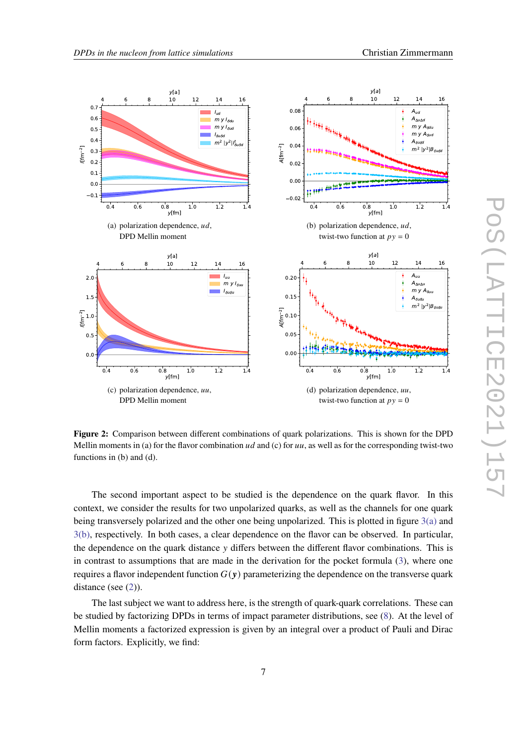<span id="page-6-4"></span><span id="page-6-3"></span><span id="page-6-1"></span><span id="page-6-0"></span>

<span id="page-6-2"></span>**Figure 2:** Comparison between different combinations of quark polarizations. This is shown for the DPD Mellin moments in (a) for the flavor combination  $ud$  and (c) for  $uu$ , as well as for the corresponding twist-two functions in (b) and (d).

The second important aspect to be studied is the dependence on the quark flavor. In this context, we consider the results for two unpolarized quarks, as well as the channels for one quark being transversely polarized and the other one being unpolarized. This is plotted in figure [3\(a\)](#page-7-0) and [3\(b\),](#page-7-1) respectively. In both cases, a clear dependence on the flavor can be observed. In particular, the dependence on the quark distance  $\nu$  differs between the different flavor combinations. This is in contrast to assumptions that are made in the derivation for the pocket formula [\(3\)](#page-1-1), where one requires a flavor independent function  $G(y)$  parameterizing the dependence on the transverse quark distance (see  $(2)$ ).

The last subject we want to address here, is the strength of quark-quark correlations. These can be studied by factorizing DPDs in terms of impact parameter distributions, see [\(8\)](#page-2-1). At the level of Mellin moments a factorized expression is given by an integral over a product of Pauli and Dirac form factors. Explicitly, we find: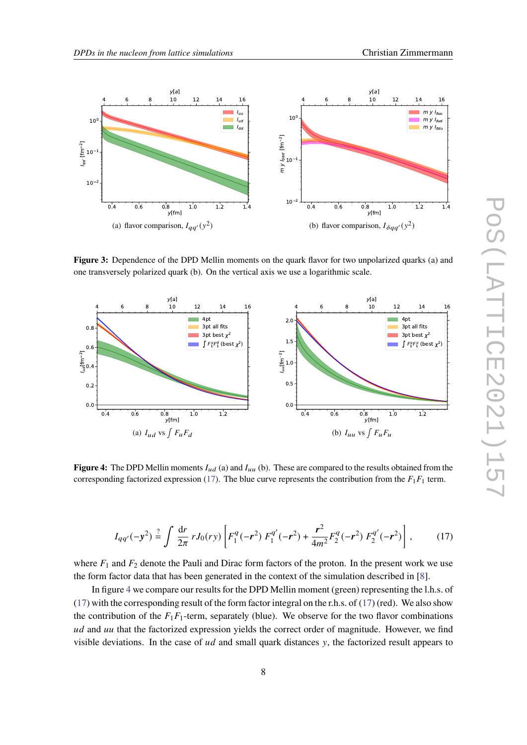<span id="page-7-1"></span>

<span id="page-7-0"></span>

**Figure 3:** Dependence of the DPD Mellin moments on the quark flavor for two unpolarized quarks (a) and one transversely polarized quark (b). On the vertical axis we use a logarithmic scale.

<span id="page-7-3"></span>

**Figure 4:** The DPD Mellin moments  $I_{ud}$  (a) and  $I_{uu}$  (b). These are compared to the results obtained from the corresponding factorized expression [\(17\)](#page-7-2). The blue curve represents the contribution from the  $F_1F_1$  term.

<span id="page-7-2"></span>
$$
I_{qq'}(-y^2) \stackrel{?}{=} \int \frac{dr}{2\pi} r J_0(ry) \left[ F_1^q(-r^2) F_1^{q'}(-r^2) + \frac{r^2}{4m^2} F_2^q(-r^2) F_2^{q'}(-r^2) \right],\tag{17}
$$

where  $F_1$  and  $F_2$  denote the Pauli and Dirac form factors of the proton. In the present work we use the form factor data that has been generated in the context of the simulation described in [\[8\]](#page-8-7).

In figure [4](#page-7-3) we compare our results for the DPD Mellin moment (green) representing the l.h.s. of [\(17\)](#page-7-2) with the corresponding result of the form factor integral on the r.h.s. of (17) (red). We also show the contribution of the  $F_1F_1$ -term, separately (blue). We observe for the two flavor combinations  $ud$  and  $uu$  that the factorized expression yields the correct order of magnitude. However, we find visible deviations. In the case of  $ud$  and small quark distances  $y$ , the factorized result appears to